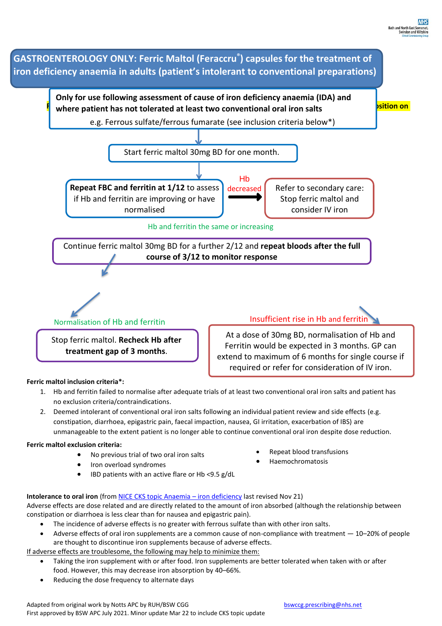

- 1. Hb and ferritin failed to normalise after adequate trials of at least two conventional oral iron salts and patient has no exclusion criteria/contraindications.
- 2. Deemed intolerant of conventional oral iron salts following an individual patient review and side effects (e.g. constipation, diarrhoea, epigastric pain, faecal impaction, nausea, GI irritation, exacerbation of IBS) are unmanageable to the extent patient is no longer able to continue conventional oral iron despite dose reduction.

## **Ferric maltol exclusion criteria:**

- No previous trial of two oral iron salts
- Iron overload syndromes
- IBD patients with an active flare or Hb <9.5 g/dL
- Repeat blood transfusions
- Haemochromatosis

**Intolerance to oral iron** (from **NICE CKS** topic Anaemia – iron deficiency last revised Nov 21) Adverse effects are dose related and are directly related to the amount of iron absorbed (although the relationship between constipation or diarrhoea is less clear than for nausea and epigastric pain).

- The incidence of adverse effects is no greater with ferrous sulfate than with other iron salts.
- Adverse effects of oral iron supplements are a common cause of non-compliance with treatment 10–20% of people are thought to discontinue iron supplements because of adverse effects.

If adverse effects are troublesome, the following may help to minimize them:

- Taking the iron supplement with or after food. Iron supplements are better tolerated when taken with or after food. However, this may decrease iron absorption by 40–66%.
- Reducing the dose frequency to alternate days